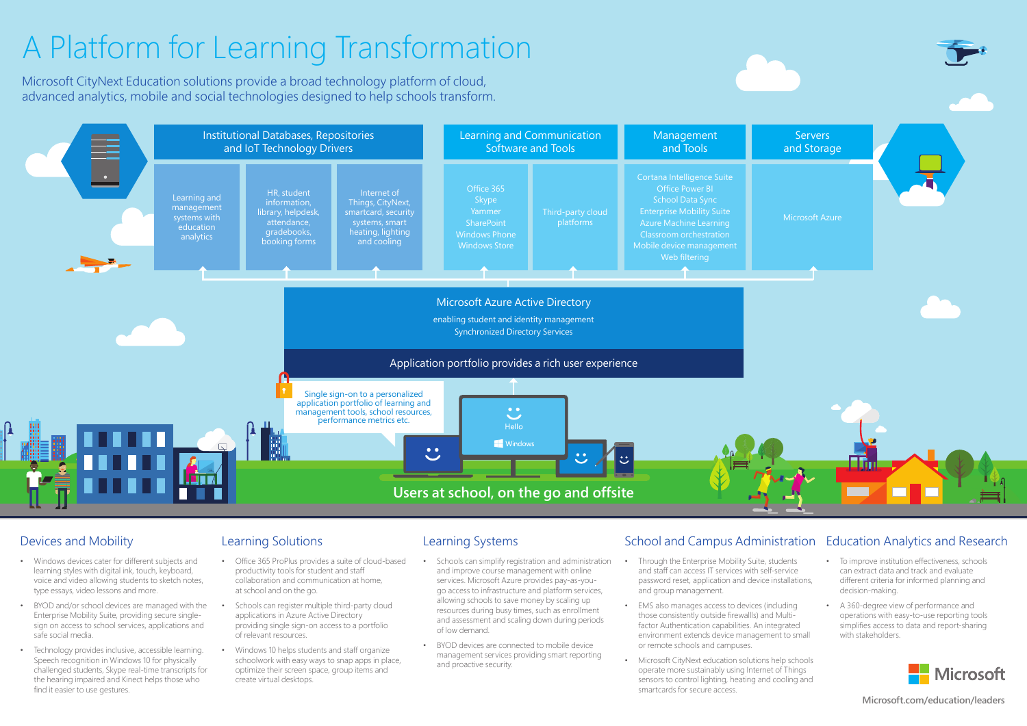

### Devices and Mobility

- Windows devices cater for different subjects and learning styles with digital ink, touch, keyboard, voice and video allowing students to sketch notes, type essays, video lessons and more.
- BYOD and/or school devices are managed with the Enterprise Mobility Suite, providing secure singlesign on access to school services, applications and safe social media.
- Technology provides inclusive, accessible learning. Speech recognition in Windows 10 for physically challenged students, Skype real-time transcripts for the hearing impaired and Kinect helps those who find it easier to use gestures.

## Learning Solutions

- Office 365 ProPlus provides a suite of cloud-based productivity tools for student and staff collaboration and communication at home, at school and on the go.
- Schools can register multiple third-party cloud applications in Azure Active Directory providing single sign-on access to a portfolio of relevant resources.
- Windows 10 helps students and staff organize schoolwork with easy ways to snap apps in place, optimize their screen space, group items and create virtual desktops.

## Learning Systems

- Schools can simplify registration and administration and improve course management with online services. Microsoft Azure provides pay-as-yougo access to infrastructure and platform services, allowing schools to save money by scaling up resources during busy times, such as enrollment and assessment and scaling down during periods of low demand.
- BYOD devices are connected to mobile device management services providing smart reporting and proactive security.

### School and Campus Administration Education Analytics and Research

- Through the Enterprise Mobility Suite, students and staff can access IT services with self-service password reset, application and device installations, and group management.
- EMS also manages access to devices (including those consistently outside firewallls) and Multifactor Authentication capabilities. An integrated environment extends device management to small or remote schools and campuses.
- Microsoft CityNext education solutions help schools operate more sustainably using Internet of Things sensors to control lighting, heating and cooling and smartcards for secure access.

- To improve institution effectiveness, schools can extract data and track and evaluate different criteria for informed planning and decision-making.
- A 360-degree view of performance and operations with easy-to-use reporting tools simplifies access to data and report-sharing with stakeholders.



**Microsoft.com/education/leaders**